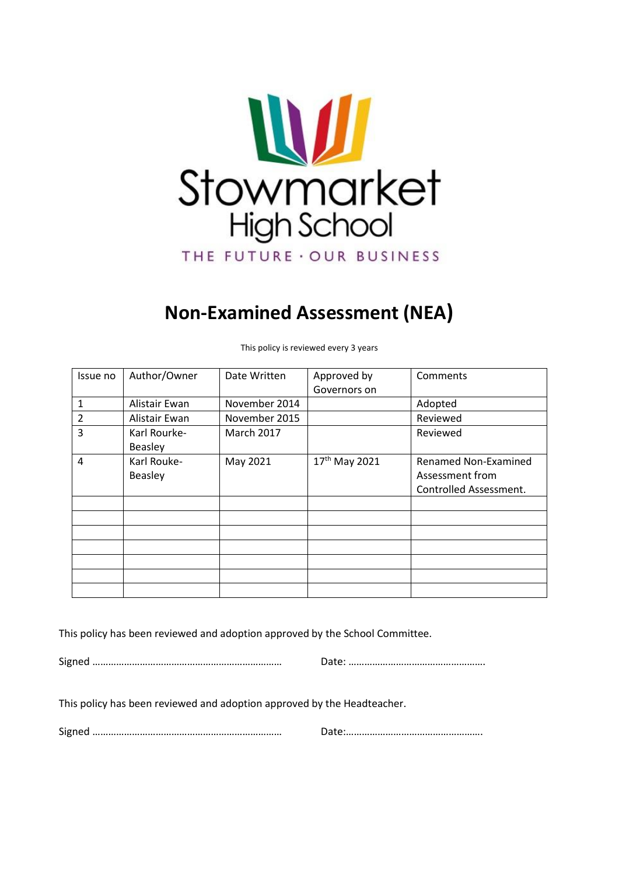

# **Non-Examined Assessment (NEA)**

| Issue no       | Author/Owner                   | Date Written      | Approved by<br>Governors on | Comments                                                                 |
|----------------|--------------------------------|-------------------|-----------------------------|--------------------------------------------------------------------------|
| 1              | Alistair Ewan                  | November 2014     |                             | Adopted                                                                  |
| $\overline{2}$ | Alistair Ewan                  | November 2015     |                             | Reviewed                                                                 |
| 3              | Karl Rourke-<br><b>Beasley</b> | <b>March 2017</b> |                             | Reviewed                                                                 |
| 4              | Karl Rouke-<br><b>Beasley</b>  | May 2021          | 17 <sup>th</sup> May 2021   | <b>Renamed Non-Examined</b><br>Assessment from<br>Controlled Assessment. |
|                |                                |                   |                             |                                                                          |
|                |                                |                   |                             |                                                                          |
|                |                                |                   |                             |                                                                          |
|                |                                |                   |                             |                                                                          |
|                |                                |                   |                             |                                                                          |
|                |                                |                   |                             |                                                                          |
|                |                                |                   |                             |                                                                          |

This policy is reviewed every 3 years

This policy has been reviewed and adoption approved by the School Committee.

Signed ……………………………………………………………… Date: …………………………………………….

This policy has been reviewed and adoption approved by the Headteacher.

Signed ……………………………………………………………… Date:…………………………………………….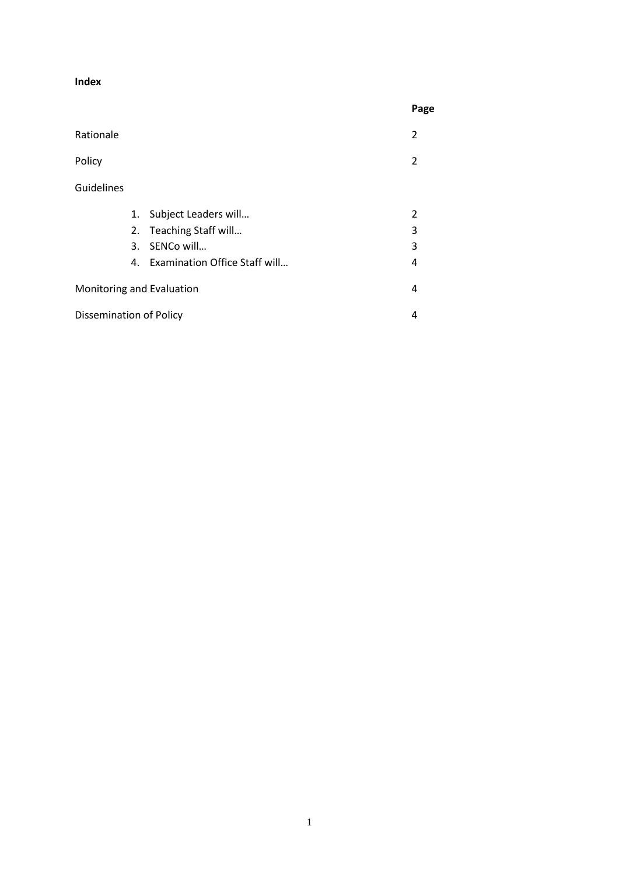#### **Index**

|                                |    |                               | Page |
|--------------------------------|----|-------------------------------|------|
| Rationale                      |    |                               | 2    |
| Policy                         |    |                               | 2    |
| Guidelines                     |    |                               |      |
|                                | 1. | Subject Leaders will          | 2    |
|                                | 2. | Teaching Staff will           | 3    |
|                                | 3. | SENCo will                    | 3    |
|                                | 4. | Examination Office Staff will | 4    |
| Monitoring and Evaluation      |    |                               | 4    |
| <b>Dissemination of Policy</b> |    |                               |      |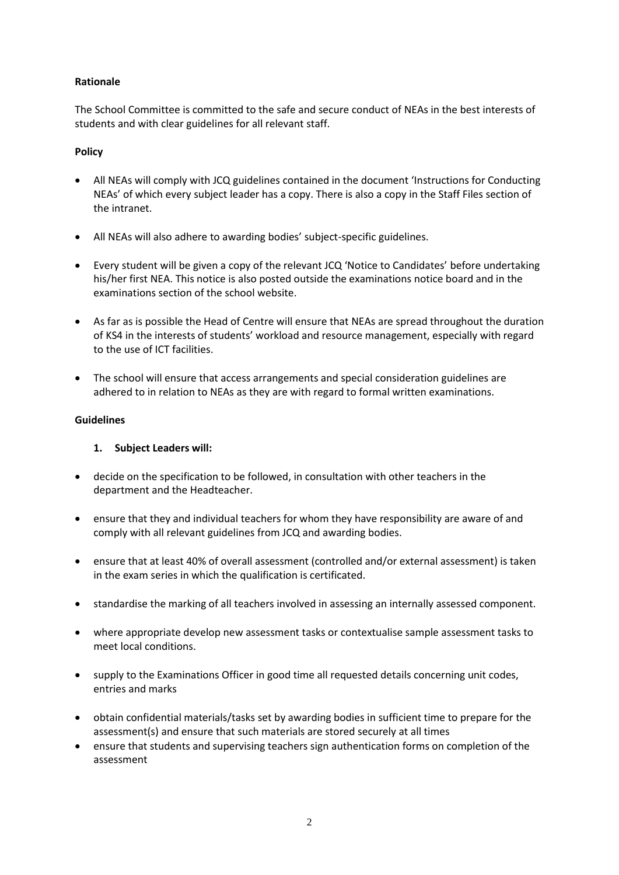## **Rationale**

The School Committee is committed to the safe and secure conduct of NEAs in the best interests of students and with clear guidelines for all relevant staff.

## **Policy**

- All NEAs will comply with JCQ guidelines contained in the document 'Instructions for Conducting NEAs' of which every subject leader has a copy. There is also a copy in the Staff Files section of the intranet.
- All NEAs will also adhere to awarding bodies' subject-specific guidelines.
- Every student will be given a copy of the relevant JCQ 'Notice to Candidates' before undertaking his/her first NEA. This notice is also posted outside the examinations notice board and in the examinations section of the school website.
- As far as is possible the Head of Centre will ensure that NEAs are spread throughout the duration of KS4 in the interests of students' workload and resource management, especially with regard to the use of ICT facilities.
- The school will ensure that access arrangements and special consideration guidelines are adhered to in relation to NEAs as they are with regard to formal written examinations.

## **Guidelines**

## **1. Subject Leaders will:**

- decide on the specification to be followed, in consultation with other teachers in the department and the Headteacher.
- ensure that they and individual teachers for whom they have responsibility are aware of and comply with all relevant guidelines from JCQ and awarding bodies.
- ensure that at least 40% of overall assessment (controlled and/or external assessment) is taken in the exam series in which the qualification is certificated.
- standardise the marking of all teachers involved in assessing an internally assessed component.
- where appropriate develop new assessment tasks or contextualise sample assessment tasks to meet local conditions.
- supply to the Examinations Officer in good time all requested details concerning unit codes, entries and marks
- obtain confidential materials/tasks set by awarding bodies in sufficient time to prepare for the assessment(s) and ensure that such materials are stored securely at all times
- ensure that students and supervising teachers sign authentication forms on completion of the assessment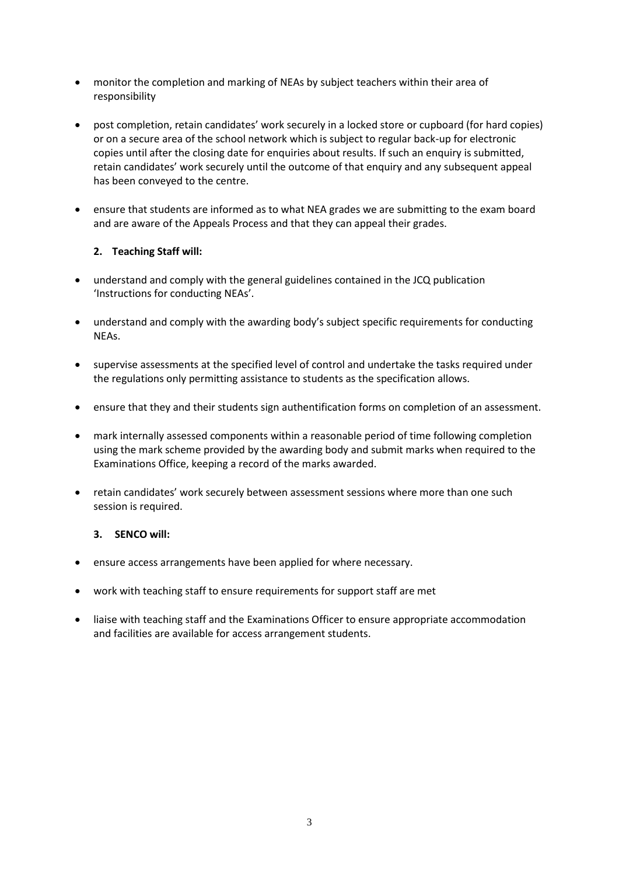- monitor the completion and marking of NEAs by subject teachers within their area of responsibility
- post completion, retain candidates' work securely in a locked store or cupboard (for hard copies) or on a secure area of the school network which is subject to regular back-up for electronic copies until after the closing date for enquiries about results. If such an enquiry is submitted, retain candidates' work securely until the outcome of that enquiry and any subsequent appeal has been conveyed to the centre.
- ensure that students are informed as to what NEA grades we are submitting to the exam board and are aware of the Appeals Process and that they can appeal their grades.

# **2. Teaching Staff will:**

- understand and comply with the general guidelines contained in the JCQ publication 'Instructions for conducting NEAs'.
- understand and comply with the awarding body's subject specific requirements for conducting NEAs.
- supervise assessments at the specified level of control and undertake the tasks required under the regulations only permitting assistance to students as the specification allows.
- ensure that they and their students sign authentification forms on completion of an assessment.
- mark internally assessed components within a reasonable period of time following completion using the mark scheme provided by the awarding body and submit marks when required to the Examinations Office, keeping a record of the marks awarded.
- retain candidates' work securely between assessment sessions where more than one such session is required.

# **3. SENCO will:**

- ensure access arrangements have been applied for where necessary.
- work with teaching staff to ensure requirements for support staff are met
- liaise with teaching staff and the Examinations Officer to ensure appropriate accommodation and facilities are available for access arrangement students.